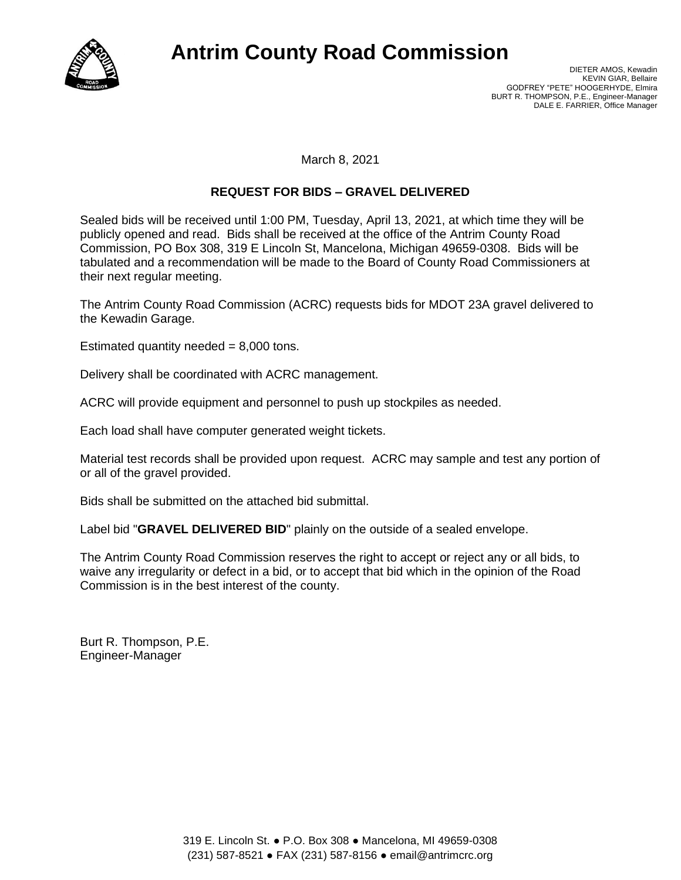

## **Antrim County Road Commission**

March 8, 2021

## **REQUEST FOR BIDS – GRAVEL DELIVERED**

Sealed bids will be received until 1:00 PM, Tuesday, April 13, 2021, at which time they will be publicly opened and read. Bids shall be received at the office of the Antrim County Road Commission, PO Box 308, 319 E Lincoln St, Mancelona, Michigan 49659-0308. Bids will be tabulated and a recommendation will be made to the Board of County Road Commissioners at their next regular meeting.

The Antrim County Road Commission (ACRC) requests bids for MDOT 23A gravel delivered to the Kewadin Garage.

Estimated quantity needed  $= 8,000$  tons.

Delivery shall be coordinated with ACRC management.

ACRC will provide equipment and personnel to push up stockpiles as needed.

Each load shall have computer generated weight tickets.

Material test records shall be provided upon request. ACRC may sample and test any portion of or all of the gravel provided.

Bids shall be submitted on the attached bid submittal.

Label bid "**GRAVEL DELIVERED BID**" plainly on the outside of a sealed envelope.

The Antrim County Road Commission reserves the right to accept or reject any or all bids, to waive any irregularity or defect in a bid, or to accept that bid which in the opinion of the Road Commission is in the best interest of the county.

Burt R. Thompson, P.E. Engineer-Manager